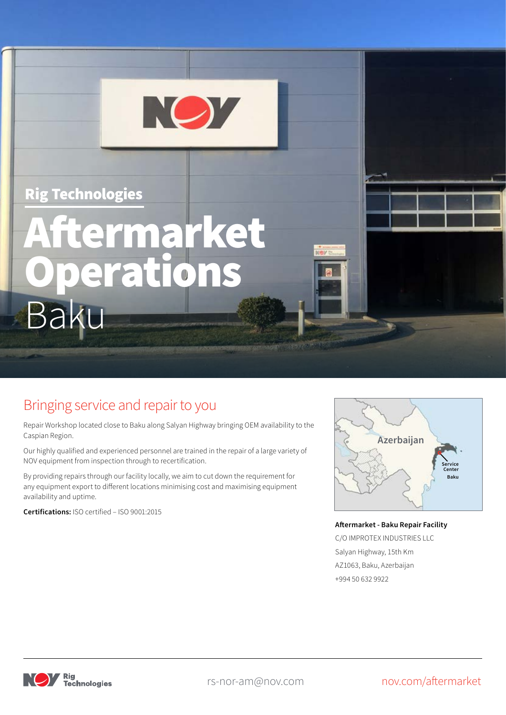## Rig Technologies

# Baku Aftermarket Operations

NO7

# Bringing service and repair to you

Repair Workshop located close to Baku along Salyan Highway bringing OEM availability to the Caspian Region.

Our highly qualified and experienced personnel are trained in the repair of a large variety of NOV equipment from inspection through to recertification.

By providing repairs through our facility locally, we aim to cut down the requirement for any equipment export to different locations minimising cost and maximising equipment availability and uptime.

**Certifications:** ISO certified – ISO 9001:2015



#### **Aftermarket - Baku Repair Facility**

C/O IMPROTEX INDUSTRIES LLC Salyan Highway, 15th Km AZ1063, Baku, Azerbaijan +994 50 632 9922



rs-nor-am@nov.com nov.com/aftermarket